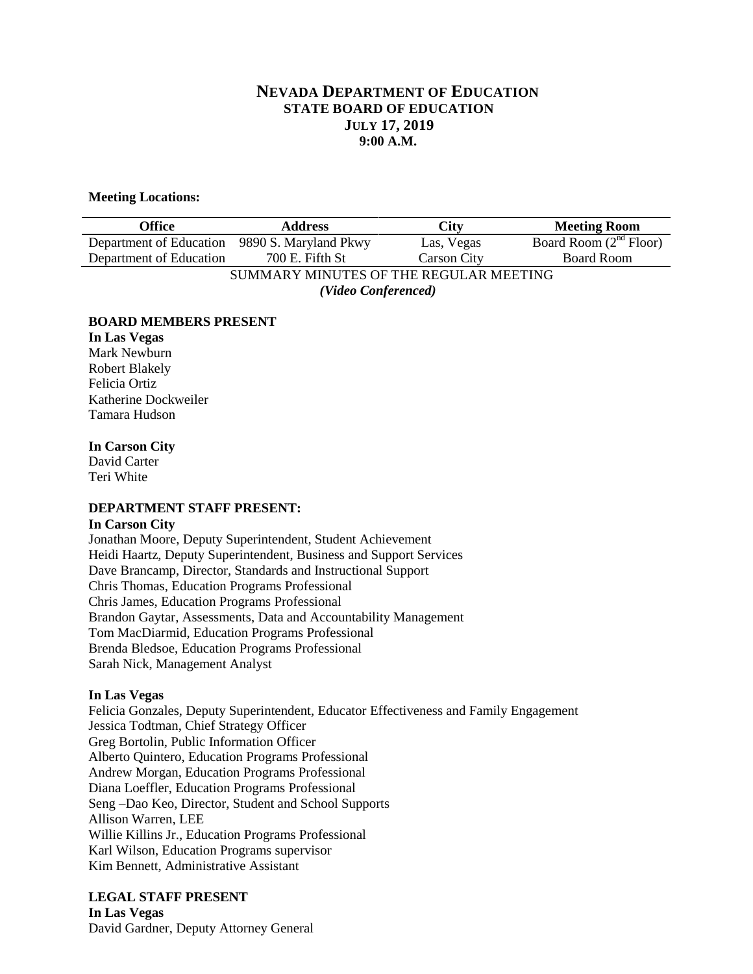# **NEVADA DEPARTMENT OF EDUCATION STATE BOARD OF EDUCATION JULY 17, 2019 9:00 A.M.**

#### **Meeting Locations:**

| Office                                        | <b>Address</b>  | City               | <b>Meeting Room</b>      |
|-----------------------------------------------|-----------------|--------------------|--------------------------|
| Department of Education 9890 S. Maryland Pkwy |                 | Las, Vegas         | Board Room $(2nd$ Floor) |
| Department of Education                       | 700 E. Fifth St | <b>Carson City</b> | <b>Board Room</b>        |
| SUMMARY MINUTES OF THE REGULAR MEETING        |                 |                    |                          |
| (Video Conferenced)                           |                 |                    |                          |

#### **BOARD MEMBERS PRESENT**

**In Las Vegas** Mark Newburn Robert Blakely Felicia Ortiz Katherine Dockweiler Tamara Hudson

## **In Carson City**

David Carter Teri White

## **DEPARTMENT STAFF PRESENT:**

#### **In Carson City**

Jonathan Moore, Deputy Superintendent, Student Achievement Heidi Haartz, Deputy Superintendent, Business and Support Services Dave Brancamp, Director, Standards and Instructional Support Chris Thomas, Education Programs Professional Chris James, Education Programs Professional Brandon Gaytar, Assessments, Data and Accountability Management Tom MacDiarmid, Education Programs Professional Brenda Bledsoe, Education Programs Professional Sarah Nick, Management Analyst

#### **In Las Vegas**

Felicia Gonzales, Deputy Superintendent, Educator Effectiveness and Family Engagement Jessica Todtman, Chief Strategy Officer Greg Bortolin, Public Information Officer Alberto Quintero, Education Programs Professional Andrew Morgan, Education Programs Professional Diana Loeffler, Education Programs Professional Seng –Dao Keo, Director, Student and School Supports Allison Warren, LEE Willie Killins Jr., Education Programs Professional Karl Wilson, Education Programs supervisor Kim Bennett, Administrative Assistant

# **LEGAL STAFF PRESENT**

**In Las Vegas** David Gardner, Deputy Attorney General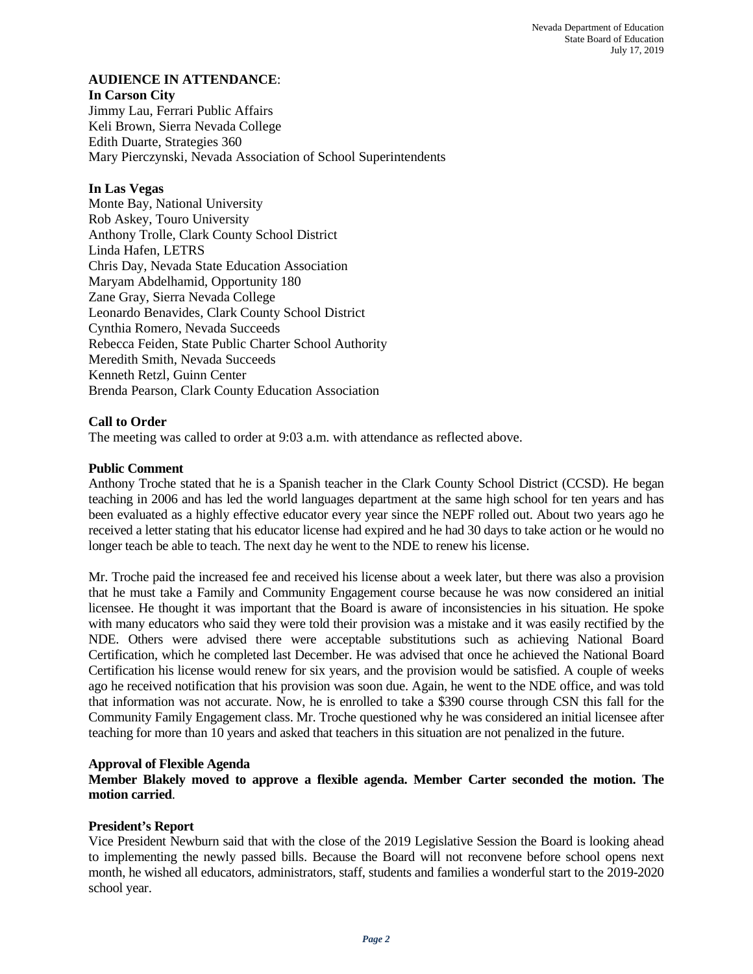## **AUDIENCE IN ATTENDANCE**:

#### **In Carson City**

Jimmy Lau, Ferrari Public Affairs Keli Brown, Sierra Nevada College Edith Duarte, Strategies 360 Mary Pierczynski, Nevada Association of School Superintendents

## **In Las Vegas**

Monte Bay, National University Rob Askey, Touro University Anthony Trolle, Clark County School District Linda Hafen, LETRS Chris Day, Nevada State Education Association Maryam Abdelhamid, Opportunity 180 Zane Gray, Sierra Nevada College Leonardo Benavides, Clark County School District Cynthia Romero, Nevada Succeeds Rebecca Feiden, State Public Charter School Authority Meredith Smith, Nevada Succeeds Kenneth Retzl, Guinn Center Brenda Pearson, Clark County Education Association

# **Call to Order**

The meeting was called to order at 9:03 a.m. with attendance as reflected above.

## **Public Comment**

Anthony Troche stated that he is a Spanish teacher in the Clark County School District (CCSD). He began teaching in 2006 and has led the world languages department at the same high school for ten years and has been evaluated as a highly effective educator every year since the NEPF rolled out. About two years ago he received a letter stating that his educator license had expired and he had 30 days to take action or he would no longer teach be able to teach. The next day he went to the NDE to renew his license.

Mr. Troche paid the increased fee and received his license about a week later, but there was also a provision that he must take a Family and Community Engagement course because he was now considered an initial licensee. He thought it was important that the Board is aware of inconsistencies in his situation. He spoke with many educators who said they were told their provision was a mistake and it was easily rectified by the NDE. Others were advised there were acceptable substitutions such as achieving National Board Certification, which he completed last December. He was advised that once he achieved the National Board Certification his license would renew for six years, and the provision would be satisfied. A couple of weeks ago he received notification that his provision was soon due. Again, he went to the NDE office, and was told that information was not accurate. Now, he is enrolled to take a \$390 course through CSN this fall for the Community Family Engagement class. Mr. Troche questioned why he was considered an initial licensee after teaching for more than 10 years and asked that teachers in this situation are not penalized in the future.

## **Approval of Flexible Agenda**

**Member Blakely moved to approve a flexible agenda. Member Carter seconded the motion. The motion carried**.

## **President's Report**

Vice President Newburn said that with the close of the 2019 Legislative Session the Board is looking ahead to implementing the newly passed bills. Because the Board will not reconvene before school opens next month, he wished all educators, administrators, staff, students and families a wonderful start to the 2019-2020 school year.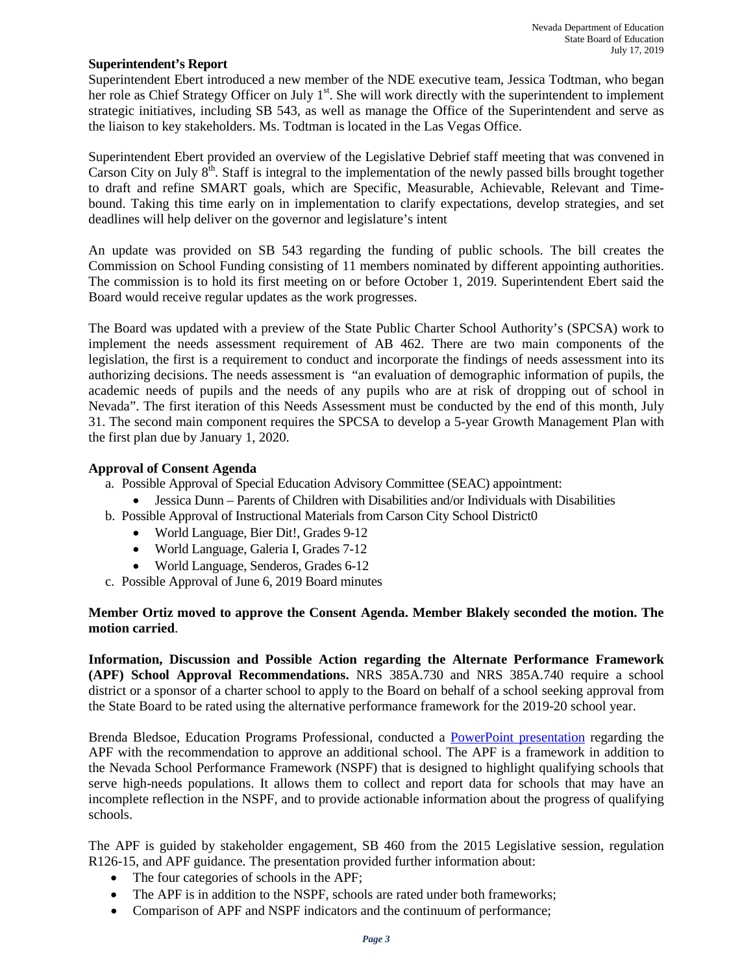## **Superintendent's Report**

Superintendent Ebert introduced a new member of the NDE executive team, Jessica Todtman, who began her role as Chief Strategy Officer on July 1<sup>st</sup>. She will work directly with the superintendent to implement strategic initiatives, including SB 543, as well as manage the Office of the Superintendent and serve as the liaison to key stakeholders. Ms. Todtman is located in the Las Vegas Office.

Superintendent Ebert provided an overview of the Legislative Debrief staff meeting that was convened in Carson City on July  $8<sup>th</sup>$ . Staff is integral to the implementation of the newly passed bills brought together to draft and refine SMART goals, which are Specific, Measurable, Achievable, Relevant and Timebound. Taking this time early on in implementation to clarify expectations, develop strategies, and set deadlines will help deliver on the governor and legislature's intent

An update was provided on SB 543 regarding the funding of public schools. The bill creates the Commission on School Funding consisting of 11 members nominated by different appointing authorities. The commission is to hold its first meeting on or before October 1, 2019. Superintendent Ebert said the Board would receive regular updates as the work progresses.

The Board was updated with a preview of the State Public Charter School Authority's (SPCSA) work to implement the needs assessment requirement of AB 462. There are two main components of the legislation, the first is a requirement to conduct and incorporate the findings of needs assessment into its authorizing decisions. The needs assessment is "an evaluation of demographic information of pupils, the academic needs of pupils and the needs of any pupils who are at risk of dropping out of school in Nevada". The first iteration of this Needs Assessment must be conducted by the end of this month, July 31. The second main component requires the SPCSA to develop a 5-year Growth Management Plan with the first plan due by January 1, 2020.

# **Approval of Consent Agenda**

a. Possible Approval of Special Education Advisory Committee (SEAC) appointment:

- Jessica Dunn Parents of Children with Disabilities and/or Individuals with Disabilities
- b. Possible Approval of Instructional Materials from Carson City School District0
	- World Language, Bier Dit!, Grades 9-12
	- World Language, Galeria I, Grades 7-12
	- World Language, Senderos, Grades 6-12
- c. Possible Approval of June 6, 2019 Board minutes

## **Member Ortiz moved to approve the Consent Agenda. Member Blakely seconded the motion. The motion carried**.

**Information, Discussion and Possible Action regarding the Alternate Performance Framework (APF) School Approval Recommendations.** NRS 385A.730 and NRS 385A.740 require a school district or a sponsor of a charter school to apply to the Board on behalf of a school seeking approval from the State Board to be rated using the alternative performance framework for the 2019-20 school year.

Brenda Bledsoe, Education Programs Professional, conducted a [PowerPoint presentation](http://www.doe.nv.gov/Boards_Commissions_Councils/State_Board_of_Education/2019/July/Support_Materials/) regarding the APF with the recommendation to approve an additional school. The APF is a framework in addition to the Nevada School Performance Framework (NSPF) that is designed to highlight qualifying schools that serve high-needs populations. It allows them to collect and report data for schools that may have an incomplete reflection in the NSPF, and to provide actionable information about the progress of qualifying schools.

The APF is guided by stakeholder engagement, SB 460 from the 2015 Legislative session, regulation R126-15, and APF guidance. The presentation provided further information about:

- The four categories of schools in the APF;
- The APF is in addition to the NSPF, schools are rated under both frameworks;
- Comparison of APF and NSPF indicators and the continuum of performance;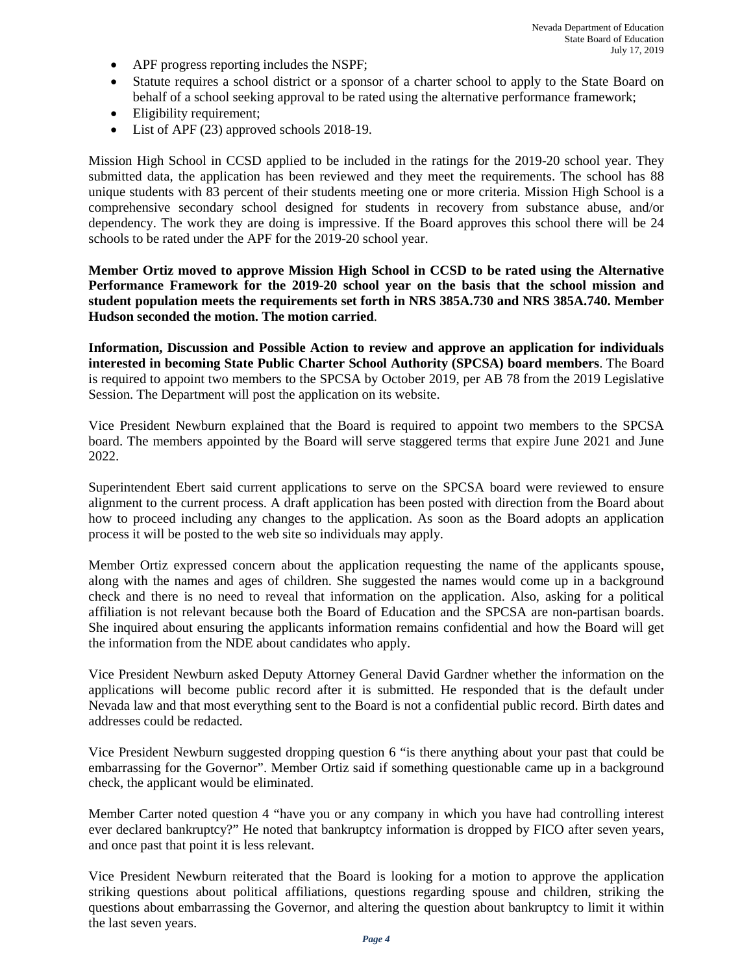- APF progress reporting includes the NSPF;
- Statute requires a school district or a sponsor of a charter school to apply to the State Board on behalf of a school seeking approval to be rated using the alternative performance framework;
- Eligibility requirement;
- List of APF (23) approved schools 2018-19.

Mission High School in CCSD applied to be included in the ratings for the 2019-20 school year. They submitted data, the application has been reviewed and they meet the requirements. The school has 88 unique students with 83 percent of their students meeting one or more criteria. Mission High School is a comprehensive secondary school designed for students in recovery from substance abuse, and/or dependency. The work they are doing is impressive. If the Board approves this school there will be 24 schools to be rated under the APF for the 2019-20 school year.

**Member Ortiz moved to approve Mission High School in CCSD to be rated using the Alternative Performance Framework for the 2019-20 school year on the basis that the school mission and student population meets the requirements set forth in NRS 385A.730 and NRS 385A.740. Member Hudson seconded the motion. The motion carried**.

**Information, Discussion and Possible Action to review and approve an application for individuals interested in becoming State Public Charter School Authority (SPCSA) board members**. The Board is required to appoint two members to the SPCSA by October 2019, per AB 78 from the 2019 Legislative Session. The Department will post the application on its website.

Vice President Newburn explained that the Board is required to appoint two members to the SPCSA board. The members appointed by the Board will serve staggered terms that expire June 2021 and June 2022.

Superintendent Ebert said current applications to serve on the SPCSA board were reviewed to ensure alignment to the current process. A draft application has been posted with direction from the Board about how to proceed including any changes to the application. As soon as the Board adopts an application process it will be posted to the web site so individuals may apply.

Member Ortiz expressed concern about the application requesting the name of the applicants spouse, along with the names and ages of children. She suggested the names would come up in a background check and there is no need to reveal that information on the application. Also, asking for a political affiliation is not relevant because both the Board of Education and the SPCSA are non-partisan boards. She inquired about ensuring the applicants information remains confidential and how the Board will get the information from the NDE about candidates who apply.

Vice President Newburn asked Deputy Attorney General David Gardner whether the information on the applications will become public record after it is submitted. He responded that is the default under Nevada law and that most everything sent to the Board is not a confidential public record. Birth dates and addresses could be redacted.

Vice President Newburn suggested dropping question 6 "is there anything about your past that could be embarrassing for the Governor". Member Ortiz said if something questionable came up in a background check, the applicant would be eliminated.

Member Carter noted question 4 "have you or any company in which you have had controlling interest ever declared bankruptcy?" He noted that bankruptcy information is dropped by FICO after seven years, and once past that point it is less relevant.

Vice President Newburn reiterated that the Board is looking for a motion to approve the application striking questions about political affiliations, questions regarding spouse and children, striking the questions about embarrassing the Governor, and altering the question about bankruptcy to limit it within the last seven years.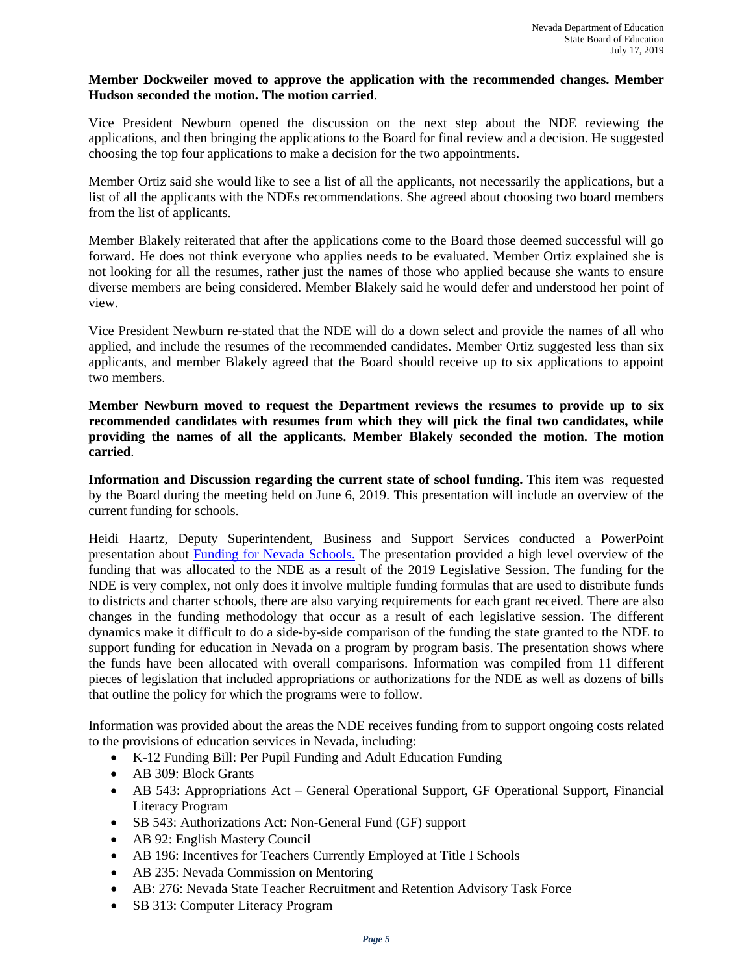## **Member Dockweiler moved to approve the application with the recommended changes. Member Hudson seconded the motion. The motion carried**.

Vice President Newburn opened the discussion on the next step about the NDE reviewing the applications, and then bringing the applications to the Board for final review and a decision. He suggested choosing the top four applications to make a decision for the two appointments.

Member Ortiz said she would like to see a list of all the applicants, not necessarily the applications, but a list of all the applicants with the NDEs recommendations. She agreed about choosing two board members from the list of applicants.

Member Blakely reiterated that after the applications come to the Board those deemed successful will go forward. He does not think everyone who applies needs to be evaluated. Member Ortiz explained she is not looking for all the resumes, rather just the names of those who applied because she wants to ensure diverse members are being considered. Member Blakely said he would defer and understood her point of view.

Vice President Newburn re-stated that the NDE will do a down select and provide the names of all who applied, and include the resumes of the recommended candidates. Member Ortiz suggested less than six applicants, and member Blakely agreed that the Board should receive up to six applications to appoint two members.

**Member Newburn moved to request the Department reviews the resumes to provide up to six recommended candidates with resumes from which they will pick the final two candidates, while providing the names of all the applicants. Member Blakely seconded the motion. The motion carried**.

**Information and Discussion regarding the current state of school funding.** This item was requested by the Board during the meeting held on June 6, 2019. This presentation will include an overview of the current funding for schools.

Heidi Haartz, Deputy Superintendent, Business and Support Services conducted a PowerPoint presentation about [Funding for Nevada Schools.](http://www.doe.nv.gov/Boards_Commissions_Councils/State_Board_of_Education/2019/July/Support_Materials/) The presentation provided a high level overview of the funding that was allocated to the NDE as a result of the 2019 Legislative Session. The funding for the NDE is very complex, not only does it involve multiple funding formulas that are used to distribute funds to districts and charter schools, there are also varying requirements for each grant received. There are also changes in the funding methodology that occur as a result of each legislative session. The different dynamics make it difficult to do a side-by-side comparison of the funding the state granted to the NDE to support funding for education in Nevada on a program by program basis. The presentation shows where the funds have been allocated with overall comparisons. Information was compiled from 11 different pieces of legislation that included appropriations or authorizations for the NDE as well as dozens of bills that outline the policy for which the programs were to follow.

Information was provided about the areas the NDE receives funding from to support ongoing costs related to the provisions of education services in Nevada, including:

- K-12 Funding Bill: Per Pupil Funding and Adult Education Funding
- AB 309: Block Grants
- AB 543: Appropriations Act General Operational Support, GF Operational Support, Financial Literacy Program
- SB 543: Authorizations Act: Non-General Fund (GF) support
- AB 92: English Mastery Council
- AB 196: Incentives for Teachers Currently Employed at Title I Schools
- AB 235: Nevada Commission on Mentoring
- AB: 276: Nevada State Teacher Recruitment and Retention Advisory Task Force
- SB 313: Computer Literacy Program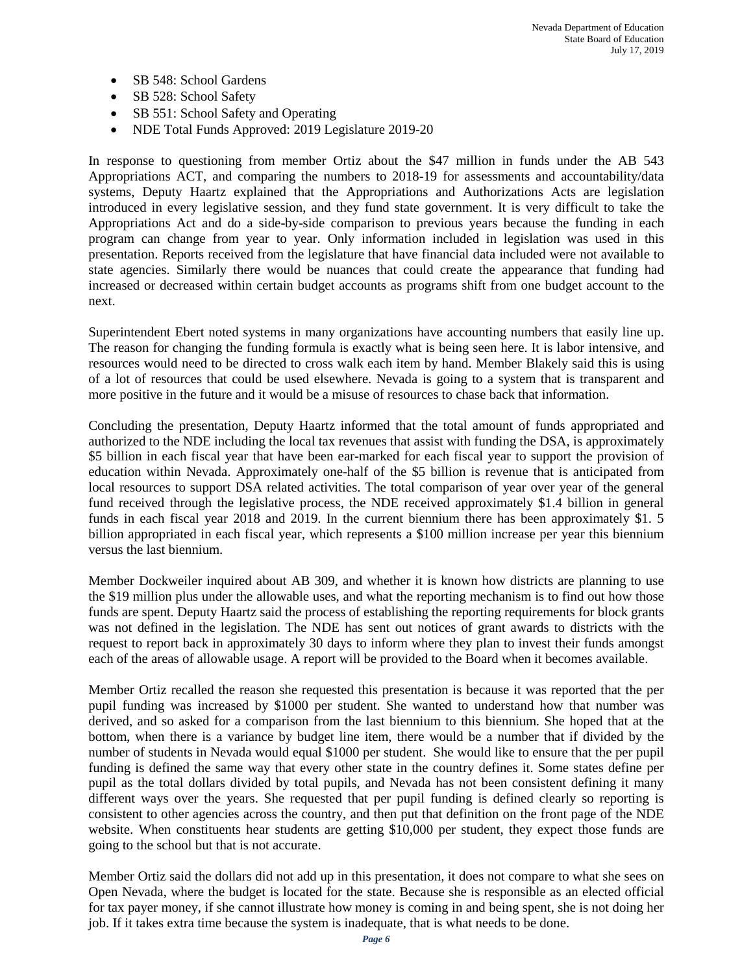- SB 548: School Gardens
- SB 528: School Safety
- SB 551: School Safety and Operating
- NDE Total Funds Approved: 2019 Legislature 2019-20

In response to questioning from member Ortiz about the \$47 million in funds under the AB 543 Appropriations ACT, and comparing the numbers to 2018-19 for assessments and accountability/data systems, Deputy Haartz explained that the Appropriations and Authorizations Acts are legislation introduced in every legislative session, and they fund state government. It is very difficult to take the Appropriations Act and do a side-by-side comparison to previous years because the funding in each program can change from year to year. Only information included in legislation was used in this presentation. Reports received from the legislature that have financial data included were not available to state agencies. Similarly there would be nuances that could create the appearance that funding had increased or decreased within certain budget accounts as programs shift from one budget account to the next.

Superintendent Ebert noted systems in many organizations have accounting numbers that easily line up. The reason for changing the funding formula is exactly what is being seen here. It is labor intensive, and resources would need to be directed to cross walk each item by hand. Member Blakely said this is using of a lot of resources that could be used elsewhere. Nevada is going to a system that is transparent and more positive in the future and it would be a misuse of resources to chase back that information.

Concluding the presentation, Deputy Haartz informed that the total amount of funds appropriated and authorized to the NDE including the local tax revenues that assist with funding the DSA, is approximately \$5 billion in each fiscal year that have been ear-marked for each fiscal year to support the provision of education within Nevada. Approximately one-half of the \$5 billion is revenue that is anticipated from local resources to support DSA related activities. The total comparison of year over year of the general fund received through the legislative process, the NDE received approximately \$1.4 billion in general funds in each fiscal year 2018 and 2019. In the current biennium there has been approximately \$1. 5 billion appropriated in each fiscal year, which represents a \$100 million increase per year this biennium versus the last biennium.

Member Dockweiler inquired about AB 309, and whether it is known how districts are planning to use the \$19 million plus under the allowable uses, and what the reporting mechanism is to find out how those funds are spent. Deputy Haartz said the process of establishing the reporting requirements for block grants was not defined in the legislation. The NDE has sent out notices of grant awards to districts with the request to report back in approximately 30 days to inform where they plan to invest their funds amongst each of the areas of allowable usage. A report will be provided to the Board when it becomes available.

Member Ortiz recalled the reason she requested this presentation is because it was reported that the per pupil funding was increased by \$1000 per student. She wanted to understand how that number was derived, and so asked for a comparison from the last biennium to this biennium. She hoped that at the bottom, when there is a variance by budget line item, there would be a number that if divided by the number of students in Nevada would equal \$1000 per student. She would like to ensure that the per pupil funding is defined the same way that every other state in the country defines it. Some states define per pupil as the total dollars divided by total pupils, and Nevada has not been consistent defining it many different ways over the years. She requested that per pupil funding is defined clearly so reporting is consistent to other agencies across the country, and then put that definition on the front page of the NDE website. When constituents hear students are getting \$10,000 per student, they expect those funds are going to the school but that is not accurate.

Member Ortiz said the dollars did not add up in this presentation, it does not compare to what she sees on Open Nevada, where the budget is located for the state. Because she is responsible as an elected official for tax payer money, if she cannot illustrate how money is coming in and being spent, she is not doing her job. If it takes extra time because the system is inadequate, that is what needs to be done.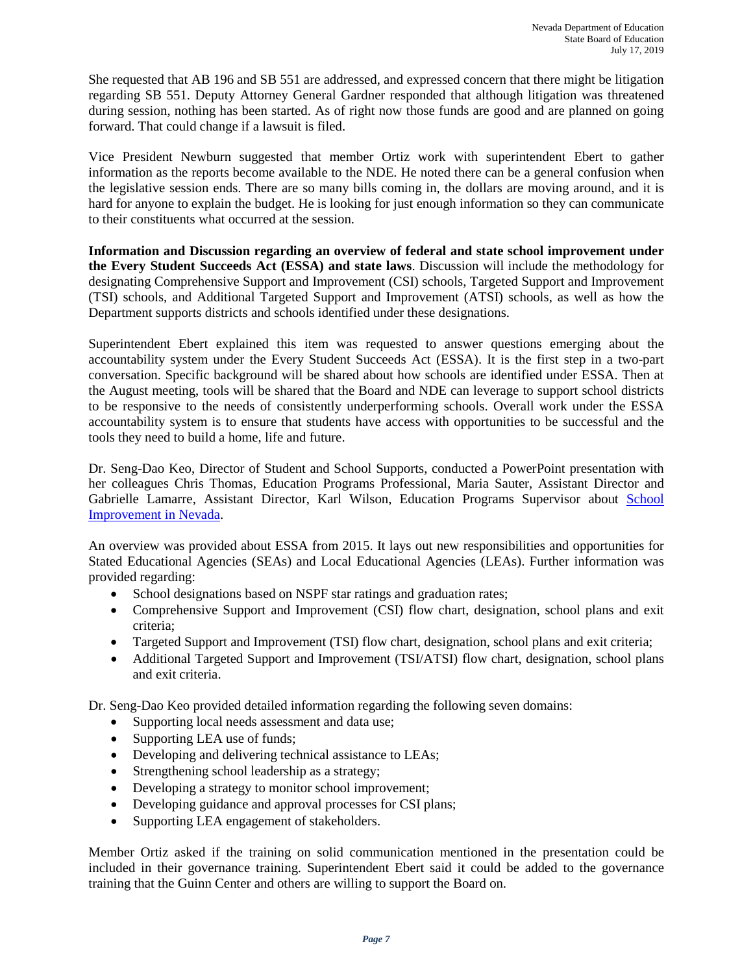She requested that AB 196 and SB 551 are addressed, and expressed concern that there might be litigation regarding SB 551. Deputy Attorney General Gardner responded that although litigation was threatened during session, nothing has been started. As of right now those funds are good and are planned on going forward. That could change if a lawsuit is filed.

Vice President Newburn suggested that member Ortiz work with superintendent Ebert to gather information as the reports become available to the NDE. He noted there can be a general confusion when the legislative session ends. There are so many bills coming in, the dollars are moving around, and it is hard for anyone to explain the budget. He is looking for just enough information so they can communicate to their constituents what occurred at the session.

**Information and Discussion regarding an overview of federal and state school improvement under the Every Student Succeeds Act (ESSA) and state laws**. Discussion will include the methodology for designating Comprehensive Support and Improvement (CSI) schools, Targeted Support and Improvement (TSI) schools, and Additional Targeted Support and Improvement (ATSI) schools, as well as how the Department supports districts and schools identified under these designations.

Superintendent Ebert explained this item was requested to answer questions emerging about the accountability system under the Every Student Succeeds Act (ESSA). It is the first step in a two-part conversation. Specific background will be shared about how schools are identified under ESSA. Then at the August meeting, tools will be shared that the Board and NDE can leverage to support school districts to be responsive to the needs of consistently underperforming schools. Overall work under the ESSA accountability system is to ensure that students have access with opportunities to be successful and the tools they need to build a home, life and future.

Dr. Seng-Dao Keo, Director of Student and School Supports, conducted a PowerPoint presentation with her colleagues Chris Thomas, Education Programs Professional, Maria Sauter, Assistant Director and Gabrielle Lamarre, Assistant Director, Karl Wilson, Education Programs Supervisor about School [Improvement in Nevada.](http://www.doe.nv.gov/Boards_Commissions_Councils/State_Board_of_Education/2019/July/Support_Materials/)

An overview was provided about ESSA from 2015. It lays out new responsibilities and opportunities for Stated Educational Agencies (SEAs) and Local Educational Agencies (LEAs). Further information was provided regarding:

- School designations based on NSPF star ratings and graduation rates;
- Comprehensive Support and Improvement (CSI) flow chart, designation, school plans and exit criteria;
- Targeted Support and Improvement (TSI) flow chart, designation, school plans and exit criteria;
- Additional Targeted Support and Improvement (TSI/ATSI) flow chart, designation, school plans and exit criteria.

Dr. Seng-Dao Keo provided detailed information regarding the following seven domains:

- Supporting local needs assessment and data use;
- Supporting LEA use of funds;
- Developing and delivering technical assistance to LEAs;
- Strengthening school leadership as a strategy;
- Developing a strategy to monitor school improvement;
- Developing guidance and approval processes for CSI plans;
- Supporting LEA engagement of stakeholders.

Member Ortiz asked if the training on solid communication mentioned in the presentation could be included in their governance training. Superintendent Ebert said it could be added to the governance training that the Guinn Center and others are willing to support the Board on.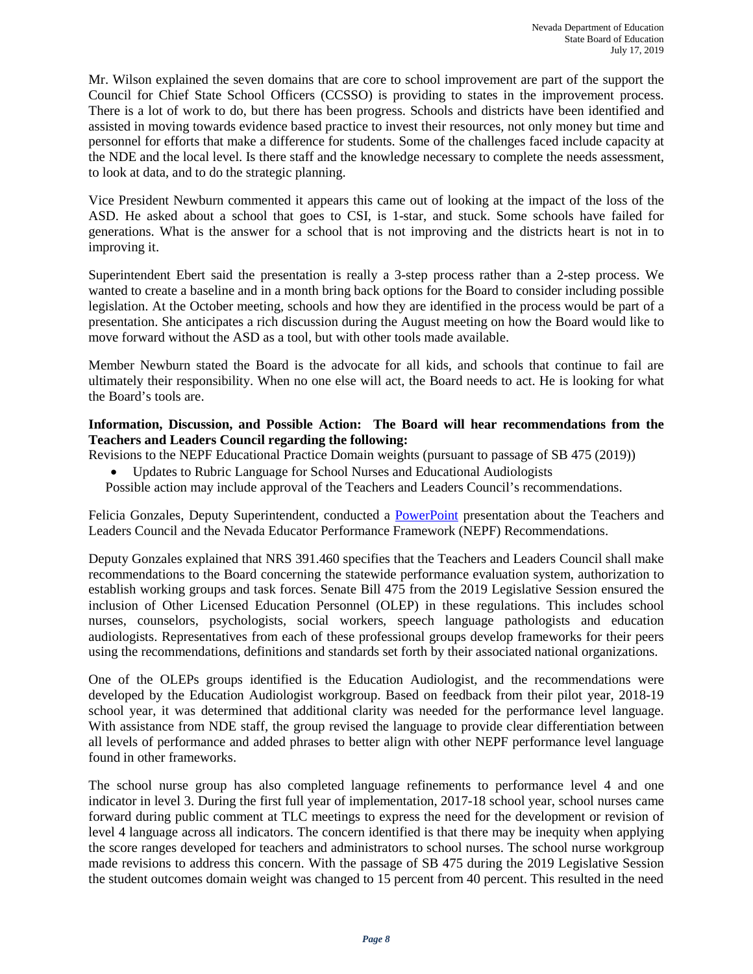Mr. Wilson explained the seven domains that are core to school improvement are part of the support the Council for Chief State School Officers (CCSSO) is providing to states in the improvement process. There is a lot of work to do, but there has been progress. Schools and districts have been identified and assisted in moving towards evidence based practice to invest their resources, not only money but time and personnel for efforts that make a difference for students. Some of the challenges faced include capacity at the NDE and the local level. Is there staff and the knowledge necessary to complete the needs assessment, to look at data, and to do the strategic planning.

Vice President Newburn commented it appears this came out of looking at the impact of the loss of the ASD. He asked about a school that goes to CSI, is 1-star, and stuck. Some schools have failed for generations. What is the answer for a school that is not improving and the districts heart is not in to improving it.

Superintendent Ebert said the presentation is really a 3-step process rather than a 2-step process. We wanted to create a baseline and in a month bring back options for the Board to consider including possible legislation. At the October meeting, schools and how they are identified in the process would be part of a presentation. She anticipates a rich discussion during the August meeting on how the Board would like to move forward without the ASD as a tool, but with other tools made available.

Member Newburn stated the Board is the advocate for all kids, and schools that continue to fail are ultimately their responsibility. When no one else will act, the Board needs to act. He is looking for what the Board's tools are.

## **Information, Discussion, and Possible Action: The Board will hear recommendations from the Teachers and Leaders Council regarding the following:**

Revisions to the NEPF Educational Practice Domain weights (pursuant to passage of SB 475 (2019))

- Updates to Rubric Language for School Nurses and Educational Audiologists
- Possible action may include approval of the Teachers and Leaders Council's recommendations.

Felicia Gonzales, Deputy Superintendent, conducted a [PowerPoint](http://www.doe.nv.gov/Boards_Commissions_Councils/State_Board_of_Education/2019/July/Support_Materials/) presentation about the Teachers and Leaders Council and the Nevada Educator Performance Framework (NEPF) Recommendations.

Deputy Gonzales explained that NRS 391.460 specifies that the Teachers and Leaders Council shall make recommendations to the Board concerning the statewide performance evaluation system, authorization to establish working groups and task forces. Senate Bill 475 from the 2019 Legislative Session ensured the inclusion of Other Licensed Education Personnel (OLEP) in these regulations. This includes school nurses, counselors, psychologists, social workers, speech language pathologists and education audiologists. Representatives from each of these professional groups develop frameworks for their peers using the recommendations, definitions and standards set forth by their associated national organizations.

One of the OLEPs groups identified is the Education Audiologist, and the recommendations were developed by the Education Audiologist workgroup. Based on feedback from their pilot year, 2018-19 school year, it was determined that additional clarity was needed for the performance level language. With assistance from NDE staff, the group revised the language to provide clear differentiation between all levels of performance and added phrases to better align with other NEPF performance level language found in other frameworks.

The school nurse group has also completed language refinements to performance level 4 and one indicator in level 3. During the first full year of implementation, 2017-18 school year, school nurses came forward during public comment at TLC meetings to express the need for the development or revision of level 4 language across all indicators. The concern identified is that there may be inequity when applying the score ranges developed for teachers and administrators to school nurses. The school nurse workgroup made revisions to address this concern. With the passage of SB 475 during the 2019 Legislative Session the student outcomes domain weight was changed to 15 percent from 40 percent. This resulted in the need